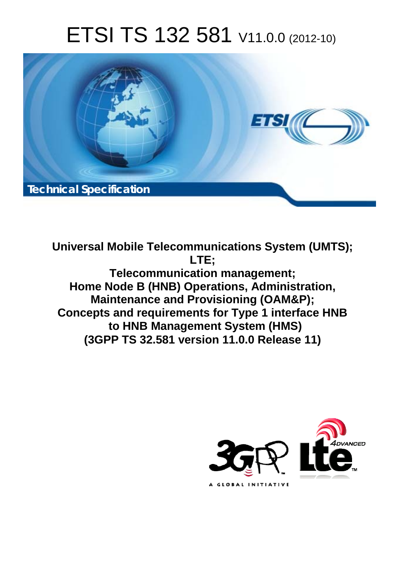# ETSI TS 132 581 V11.0.0 (2012-10)



**Universal Mobile Telecommunications System (UMTS); LTE; Telecommunication management; Home Node B (HNB) Operations, Administration, Maintenance and Provisioning (OAM&P); Concepts and requirements for Type 1 interface HNB to HNB Management System (HMS) (3GPP TS 32.581 version 11.0.0 Release 11)** 

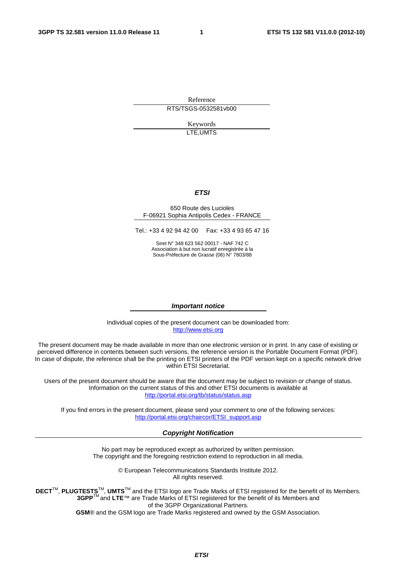Reference RTS/TSGS-0532581vb00

> Keywords LTE,UMTS

#### *ETSI*

#### 650 Route des Lucioles F-06921 Sophia Antipolis Cedex - FRANCE

Tel.: +33 4 92 94 42 00 Fax: +33 4 93 65 47 16

Siret N° 348 623 562 00017 - NAF 742 C Association à but non lucratif enregistrée à la Sous-Préfecture de Grasse (06) N° 7803/88

#### *Important notice*

Individual copies of the present document can be downloaded from: [http://www.etsi.org](http://www.etsi.org/)

The present document may be made available in more than one electronic version or in print. In any case of existing or perceived difference in contents between such versions, the reference version is the Portable Document Format (PDF). In case of dispute, the reference shall be the printing on ETSI printers of the PDF version kept on a specific network drive within ETSI Secretariat.

Users of the present document should be aware that the document may be subject to revision or change of status. Information on the current status of this and other ETSI documents is available at <http://portal.etsi.org/tb/status/status.asp>

If you find errors in the present document, please send your comment to one of the following services: [http://portal.etsi.org/chaircor/ETSI\\_support.asp](http://portal.etsi.org/chaircor/ETSI_support.asp)

#### *Copyright Notification*

No part may be reproduced except as authorized by written permission. The copyright and the foregoing restriction extend to reproduction in all media.

> © European Telecommunications Standards Institute 2012. All rights reserved.

DECT<sup>™</sup>, PLUGTESTS<sup>™</sup>, UMTS<sup>™</sup> and the ETSI logo are Trade Marks of ETSI registered for the benefit of its Members. **3GPP**TM and **LTE**™ are Trade Marks of ETSI registered for the benefit of its Members and of the 3GPP Organizational Partners.

**GSM**® and the GSM logo are Trade Marks registered and owned by the GSM Association.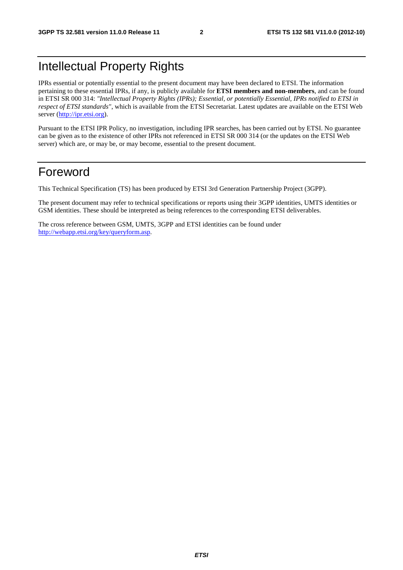# Intellectual Property Rights

IPRs essential or potentially essential to the present document may have been declared to ETSI. The information pertaining to these essential IPRs, if any, is publicly available for **ETSI members and non-members**, and can be found in ETSI SR 000 314: *"Intellectual Property Rights (IPRs); Essential, or potentially Essential, IPRs notified to ETSI in respect of ETSI standards"*, which is available from the ETSI Secretariat. Latest updates are available on the ETSI Web server [\(http://ipr.etsi.org](http://webapp.etsi.org/IPR/home.asp)).

Pursuant to the ETSI IPR Policy, no investigation, including IPR searches, has been carried out by ETSI. No guarantee can be given as to the existence of other IPRs not referenced in ETSI SR 000 314 (or the updates on the ETSI Web server) which are, or may be, or may become, essential to the present document.

### Foreword

This Technical Specification (TS) has been produced by ETSI 3rd Generation Partnership Project (3GPP).

The present document may refer to technical specifications or reports using their 3GPP identities, UMTS identities or GSM identities. These should be interpreted as being references to the corresponding ETSI deliverables.

The cross reference between GSM, UMTS, 3GPP and ETSI identities can be found under [http://webapp.etsi.org/key/queryform.asp.](http://webapp.etsi.org/key/queryform.asp)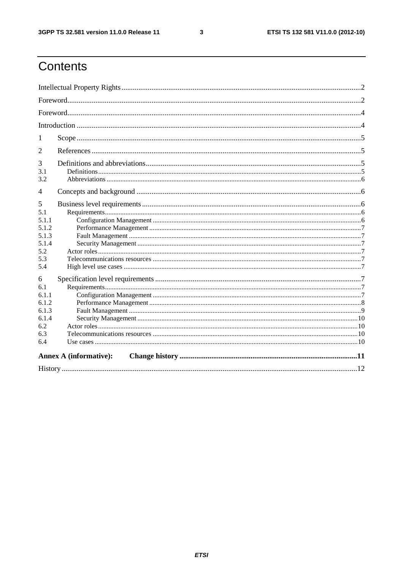$\mathbf{3}$ 

# Contents

| 1               |                               |  |  |  |  |  |  |
|-----------------|-------------------------------|--|--|--|--|--|--|
| 2               |                               |  |  |  |  |  |  |
| 3<br>3.1<br>3.2 |                               |  |  |  |  |  |  |
| $\overline{4}$  |                               |  |  |  |  |  |  |
| 5               |                               |  |  |  |  |  |  |
| 5.1             |                               |  |  |  |  |  |  |
| 5.1.1           |                               |  |  |  |  |  |  |
| 5.1.2           |                               |  |  |  |  |  |  |
| 5.1.3           |                               |  |  |  |  |  |  |
| 5.1.4           |                               |  |  |  |  |  |  |
| 5.2             |                               |  |  |  |  |  |  |
| 5.3             |                               |  |  |  |  |  |  |
| 5.4             |                               |  |  |  |  |  |  |
| 6               |                               |  |  |  |  |  |  |
| 6.1             |                               |  |  |  |  |  |  |
| 6.1.1           |                               |  |  |  |  |  |  |
| 6.1.2           |                               |  |  |  |  |  |  |
| 6.1.3           |                               |  |  |  |  |  |  |
| 6.1.4           |                               |  |  |  |  |  |  |
| 6.2             |                               |  |  |  |  |  |  |
| 6.3             |                               |  |  |  |  |  |  |
| 6.4             |                               |  |  |  |  |  |  |
|                 | <b>Annex A (informative):</b> |  |  |  |  |  |  |
|                 |                               |  |  |  |  |  |  |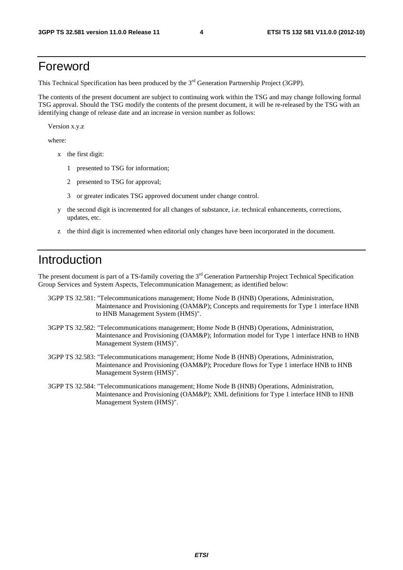### Foreword

This Technical Specification has been produced by the 3<sup>rd</sup> Generation Partnership Project (3GPP).

The contents of the present document are subject to continuing work within the TSG and may change following formal TSG approval. Should the TSG modify the contents of the present document, it will be re-released by the TSG with an identifying change of release date and an increase in version number as follows:

Version x.y.z

where:

- x the first digit:
	- 1 presented to TSG for information;
	- 2 presented to TSG for approval;
	- 3 or greater indicates TSG approved document under change control.
- y the second digit is incremented for all changes of substance, i.e. technical enhancements, corrections, updates, etc.
- z the third digit is incremented when editorial only changes have been incorporated in the document.

### Introduction

The present document is part of a TS-family covering the  $3<sup>rd</sup>$  Generation Partnership Project Technical Specification Group Services and System Aspects, Telecommunication Management; as identified below:

- 3GPP TS 32.581: "Telecommunications management; Home Node B (HNB) Operations, Administration, Maintenance and Provisioning (OAM&P); Concepts and requirements for Type 1 interface HNB to HNB Management System (HMS)".
- 3GPP TS 32.582: "Telecommunications management; Home Node B (HNB) Operations, Administration, Maintenance and Provisioning (OAM&P); Information model for Type 1 interface HNB to HNB Management System (HMS)".
- 3GPP TS 32.583: "Telecommunications management; Home Node B (HNB) Operations, Administration, Maintenance and Provisioning (OAM&P); Procedure flows for Type 1 interface HNB to HNB Management System (HMS)".
- 3GPP TS 32.584: "Telecommunications management; Home Node B (HNB) Operations, Administration, Maintenance and Provisioning (OAM&P); XML definitions for Type 1 interface HNB to HNB Management System (HMS)".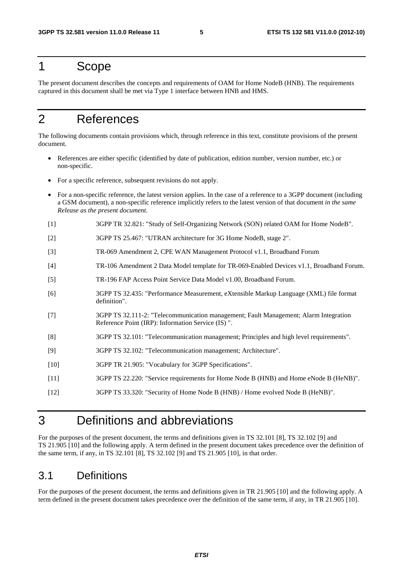### 1 Scope

The present document describes the concepts and requirements of OAM for Home NodeB (HNB). The requirements captured in this document shall be met via Type 1 interface between HNB and HMS.

## 2 References

The following documents contain provisions which, through reference in this text, constitute provisions of the present document.

- References are either specific (identified by date of publication, edition number, version number, etc.) or non-specific.
- For a specific reference, subsequent revisions do not apply.
- For a non-specific reference, the latest version applies. In the case of a reference to a 3GPP document (including a GSM document), a non-specific reference implicitly refers to the latest version of that document *in the same Release as the present document*.
- [1] 3GPP TR 32.821: "Study of Self-Organizing Network (SON) related OAM for Home NodeB".
- [2] 3GPP TS 25.467: "UTRAN architecture for 3G Home NodeB, stage 2".
- [3] TR-069 Amendment 2, CPE WAN Management Protocol v1.1, Broadband Forum
- [4] TR-106 Amendment 2 Data Model template for TR-069-Enabled Devices v1.1, Broadband Forum.
- [5] TR-196 FAP Access Point Service Data Model v1.00, Broadband Forum.
- [6] 3GPP TS 32.435: "Performance Measurement, eXtensible Markup Language (XML) file format definition".
- [7] 3GPP TS 32.111-2: "Telecommunication management; Fault Management; Alarm Integration Reference Point (IRP): Information Service (IS) ".
- [8] 3GPP TS 32.101: "Telecommunication management; Principles and high level requirements".
- [9] 3GPP TS 32.102: "Telecommunication management; Architecture".
- [10] 3GPP TR 21.905: "Vocabulary for 3GPP Specifications".
- [11] 3GPP TS 22.220: "Service requirements for Home Node B (HNB) and Home eNode B (HeNB)".
- [12] 3GPP TS 33.320: "Security of Home Node B (HNB) / Home evolved Node B (HeNB)".

### 3 Definitions and abbreviations

For the purposes of the present document, the terms and definitions given in TS 32.101 [8], TS 32.102 [9] and TS 21.905 [10] and the following apply. A term defined in the present document takes precedence over the definition of the same term, if any, in TS 32.101 [8], TS 32.102 [9] and TS 21.905 [10], in that order.

### 3.1 Definitions

For the purposes of the present document, the terms and definitions given in TR 21.905 [10] and the following apply. A term defined in the present document takes precedence over the definition of the same term, if any, in TR 21.905 [10].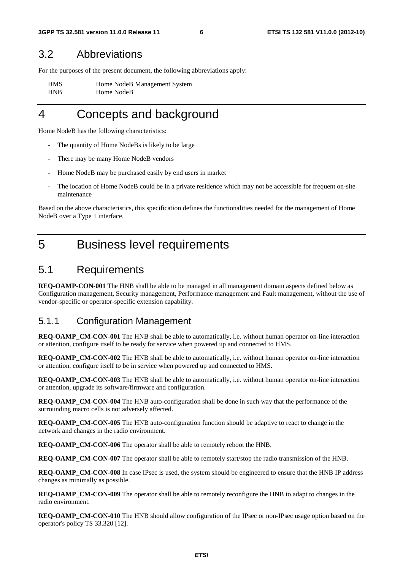#### 3.2 Abbreviations

For the purposes of the present document, the following abbreviations apply:

HMS Home NodeB Management System HNB Home NodeB

### 4 Concepts and background

Home NodeB has the following characteristics:

- The quantity of Home NodeBs is likely to be large
- There may be many Home NodeB vendors
- Home NodeB may be purchased easily by end users in market
- The location of Home NodeB could be in a private residence which may not be accessible for frequent on-site maintenance

Based on the above characteristics, this specification defines the functionalities needed for the management of Home NodeB over a Type 1 interface.

### 5 Business level requirements

#### 5.1 Requirements

**REQ-OAMP-CON-001** The HNB shall be able to be managed in all management domain aspects defined below as Configuration management, Security management, Performance management and Fault management, without the use of vendor-specific or operator-specific extension capability.

#### 5.1.1 Configuration Management

**REQ-OAMP\_CM-CON-001** The HNB shall be able to automatically, i.e. without human operator on-line interaction or attention, configure itself to be ready for service when powered up and connected to HMS.

**REQ-OAMP\_CM-CON-002** The HNB shall be able to automatically, i.e. without human operator on-line interaction or attention, configure itself to be in service when powered up and connected to HMS.

**REQ-OAMP\_CM-CON-003** The HNB shall be able to automatically, i.e. without human operator on-line interaction or attention, upgrade its software/firmware and configuration.

**REQ-OAMP\_CM-CON-004** The HNB auto-configuration shall be done in such way that the performance of the surrounding macro cells is not adversely affected.

**REQ-OAMP\_CM-CON-005** The HNB auto-configuration function should be adaptive to react to change in the network and changes in the radio environment.

**REQ-OAMP** CM-CON-006 The operator shall be able to remotely reboot the HNB.

**REQ-OAMP\_CM-CON-007** The operator shall be able to remotely start/stop the radio transmission of the HNB.

**REQ-OAMP\_CM-CON-008** In case IPsec is used, the system should be engineered to ensure that the HNB IP address changes as minimally as possible.

**REQ-OAMP\_CM-CON-009** The operator shall be able to remotely reconfigure the HNB to adapt to changes in the radio environment.

**REQ-OAMP\_CM-CON-010** The HNB should allow configuration of the IPsec or non-IPsec usage option based on the operator's policy TS 33.320 [12].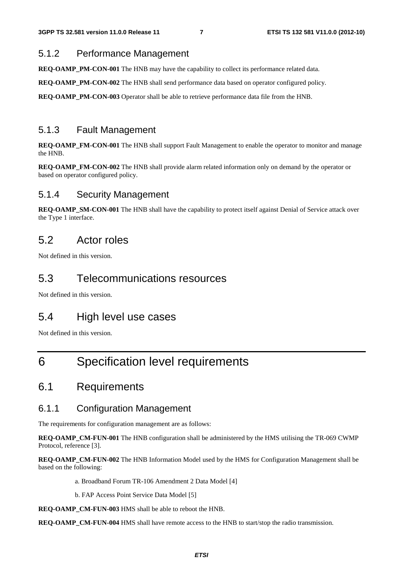#### 5.1.2 Performance Management

**REQ-OAMP\_PM-CON-001** The HNB may have the capability to collect its performance related data.

**REQ-OAMP\_PM-CON-002** The HNB shall send performance data based on operator configured policy.

**REQ-OAMP\_PM-CON-003** Operator shall be able to retrieve performance data file from the HNB.

#### 5.1.3 Fault Management

**REQ-OAMP\_FM-CON-001** The HNB shall support Fault Management to enable the operator to monitor and manage the HNB.

**REQ-OAMP\_FM-CON-002** The HNB shall provide alarm related information only on demand by the operator or based on operator configured policy.

#### 5.1.4 Security Management

**REQ-OAMP\_SM-CON-001** The HNB shall have the capability to protect itself against Denial of Service attack over the Type 1 interface.

### 5.2 Actor roles

Not defined in this version.

#### 5.3 Telecommunications resources

Not defined in this version.

### 5.4 High level use cases

Not defined in this version.

## 6 Specification level requirements

### 6.1 Requirements

#### 6.1.1 Configuration Management

The requirements for configuration management are as follows:

**REQ-OAMP\_CM-FUN-001** The HNB configuration shall be administered by the HMS utilising the TR-069 CWMP Protocol, reference [3].

**REQ-OAMP\_CM-FUN-002** The HNB Information Model used by the HMS for Configuration Management shall be based on the following:

a. Broadband Forum TR-106 Amendment 2 Data Model [4]

b. FAP Access Point Service Data Model [5]

**REQ-OAMP\_CM-FUN-003** HMS shall be able to reboot the HNB.

**REQ-OAMP\_CM-FUN-004** HMS shall have remote access to the HNB to start/stop the radio transmission.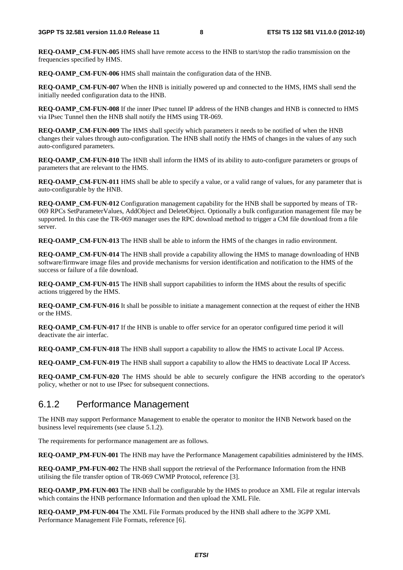**REQ-OAMP\_CM-FUN-005** HMS shall have remote access to the HNB to start/stop the radio transmission on the frequencies specified by HMS.

**REQ-OAMP\_CM-FUN-006** HMS shall maintain the configuration data of the HNB.

**REQ-OAMP\_CM-FUN-007** When the HNB is initially powered up and connected to the HMS, HMS shall send the initially needed configuration data to the HNB.

**REQ-OAMP\_CM-FUN-008** If the inner IPsec tunnel IP address of the HNB changes and HNB is connected to HMS via IPsec Tunnel then the HNB shall notify the HMS using TR-069.

**REQ-OAMP\_CM-FUN-009** The HMS shall specify which parameters it needs to be notified of when the HNB changes their values through auto-configuration. The HNB shall notify the HMS of changes in the values of any such auto-configured parameters.

**REQ-OAMP\_CM-FUN-010** The HNB shall inform the HMS of its ability to auto-configure parameters or groups of parameters that are relevant to the HMS.

**REQ-OAMP\_CM-FUN-011** HMS shall be able to specify a value, or a valid range of values, for any parameter that is auto-configurable by the HNB.

**REQ-OAMP\_CM-FUN-012** Configuration management capability for the HNB shall be supported by means of TR-069 RPCs SetParameterValues, AddObject and DeleteObject. Optionally a bulk configuration management file may be supported. In this case the TR-069 manager uses the RPC download method to trigger a CM file download from a file server.

**REQ-OAMP\_CM-FUN-013** The HNB shall be able to inform the HMS of the changes in radio environment.

**REQ-OAMP\_CM-FUN-014** The HNB shall provide a capability allowing the HMS to manage downloading of HNB software/firmware image files and provide mechanisms for version identification and notification to the HMS of the success or failure of a file download.

**REQ-OAMP\_CM-FUN-015** The HNB shall support capabilities to inform the HMS about the results of specific actions triggered by the HMS.

**REQ-OAMP\_CM-FUN-016** It shall be possible to initiate a management connection at the request of either the HNB or the HMS.

**REQ-OAMP\_CM-FUN-017** If the HNB is unable to offer service for an operator configured time period it will deactivate the air interfac.

**REQ-OAMP\_CM-FUN-018** The HNB shall support a capability to allow the HMS to activate Local IP Access.

**REQ-OAMP\_CM-FUN-019** The HNB shall support a capability to allow the HMS to deactivate Local IP Access.

**REQ-OAMP\_CM-FUN-020** The HMS should be able to securely configure the HNB according to the operator's policy, whether or not to use IPsec for subsequent connections.

#### 6.1.2 Performance Management

The HNB may support Performance Management to enable the operator to monitor the HNB Network based on the business level requirements (see clause 5.1.2).

The requirements for performance management are as follows.

**REQ-OAMP\_PM-FUN-001** The HNB may have the Performance Management capabilities administered by the HMS.

**REQ-OAMP\_PM-FUN-002** The HNB shall support the retrieval of the Performance Information from the HNB utilising the file transfer option of TR-069 CWMP Protocol, reference [3].

**REQ-OAMP\_PM-FUN-003** The HNB shall be configurable by the HMS to produce an XML File at regular intervals which contains the HNB performance Information and then upload the XML File.

**REQ-OAMP\_PM-FUN-004** The XML File Formats produced by the HNB shall adhere to the 3GPP XML Performance Management File Formats, reference [6].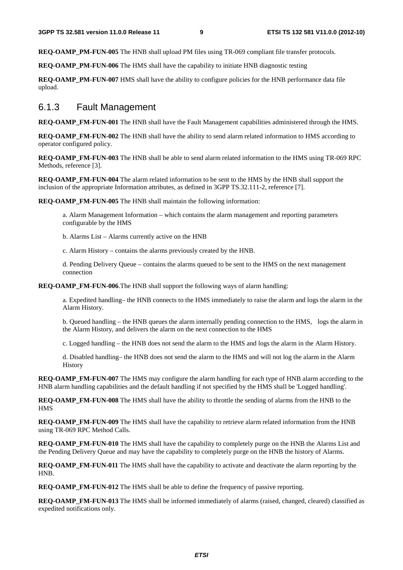**REO-OAMP\_PM-FUN-005** The HNB shall upload PM files using TR-069 compliant file transfer protocols.

**REO-OAMP\_PM-FUN-006** The HMS shall have the capability to initiate HNB diagnostic testing

**REQ-OAMP\_PM-FUN-007** HMS shall have the ability to configure policies for the HNB performance data file upload.

#### 6.1.3 Fault Management

**REQ-OAMP\_FM-FUN-001** The HNB shall have the Fault Management capabilities administered through the HMS.

**REQ-OAMP\_FM-FUN-002** The HNB shall have the ability to send alarm related information to HMS according to operator configured policy.

**REQ-OAMP\_FM-FUN-003** The HNB shall be able to send alarm related information to the HMS using TR-069 RPC Methods, reference [3].

**REQ-OAMP\_FM-FUN-004** The alarm related information to be sent to the HMS by the HNB shall support the inclusion of the appropriate Information attributes, as defined in 3GPP TS.32.111-2, reference [7].

**REQ-OAMP\_FM-FUN-005** The HNB shall maintain the following information:

a. Alarm Management Information – which contains the alarm management and reporting parameters configurable by the HMS

b. Alarms List – Alarms currently active on the HNB

c. Alarm History – contains the alarms previously created by the HNB.

d. Pending Delivery Queue – contains the alarms queued to be sent to the HMS on the next management connection

**REQ-OAMP\_FM-FUN-006**.The HNB shall support the following ways of alarm handling:

a. Expedited handling– the HNB connects to the HMS immediately to raise the alarm and logs the alarm in the Alarm History.

b. Queued handling – the HNB queues the alarm internally pending connection to the HMS, logs the alarm in the Alarm History, and delivers the alarm on the next connection to the HMS

c. Logged handling – the HNB does not send the alarm to the HMS and logs the alarm in the Alarm History.

d. Disabled handling– the HNB does not send the alarm to the HMS and will not log the alarm in the Alarm History

**REQ-OAMP\_FM-FUN-007** The HMS may configure the alarm handling for each type of HNB alarm according to the HNB alarm handling capabilities and the default handling if not specified by the HMS shall be 'Logged handling'.

**REQ-OAMP\_FM-FUN-008** The HMS shall have the ability to throttle the sending of alarms from the HNB to the **HMS** 

**REO-OAMP\_FM-FUN-009** The HMS shall have the capability to retrieve alarm related information from the HNB using TR-069 RPC Method Calls.

**REQ-OAMP\_FM-FUN-010** The HMS shall have the capability to completely purge on the HNB the Alarms List and the Pending Delivery Queue and may have the capability to completely purge on the HNB the history of Alarms.

**REQ-OAMP\_FM-FUN-011** The HMS shall have the capability to activate and deactivate the alarm reporting by the HNB.

**REO-OAMP\_FM-FUN-012** The HMS shall be able to define the frequency of passive reporting.

**REQ-OAMP\_FM-FUN-013** The HMS shall be informed immediately of alarms (raised, changed, cleared) classified as expedited notifications only.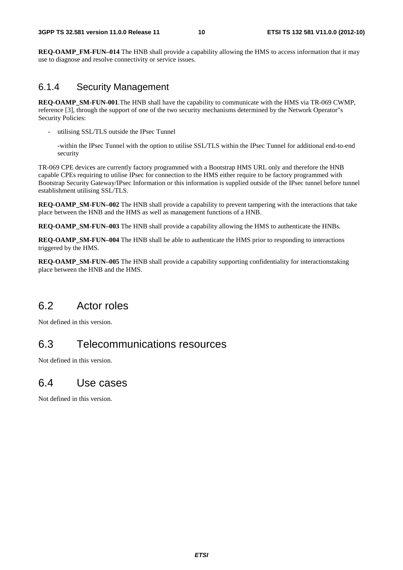**REO-OAMP\_FM-FUN–014** The HNB shall provide a capability allowing the HMS to access information that it may use to diagnose and resolve connectivity or service issues.

#### 6.1.4 Security Management

**REO-OAMP\_SM-FUN-001.**The HNB shall have the capability to communicate with the HMS via TR-069 CWMP, reference [3], through the support of one of the two security mechanisms determined by the Network Operator"s Security Policies:

utilising SSL/TLS outside the IPsec Tunnel

 -within the IPsec Tunnel with the option to utilise SSL/TLS within the IPsec Tunnel for additional end-to-end security

TR-069 CPE devices are currently factory programmed with a Bootstrap HMS URL only and therefore the HNB capable CPEs requiring to utilise IPsec for connection to the HMS either require to be factory programmed with Bootstrap Security Gateway/IPsec Information or this information is supplied outside of the IPsec tunnel before tunnel establishment utilising SSL/TLS.

**REO-OAMP\_SM-FUN–002** The HNB shall provide a capability to prevent tampering with the interactions that take place between the HNB and the HMS as well as management functions of a HNB.

**REQ-OAMP\_SM-FUN–003** The HNB shall provide a capability allowing the HMS to authenticate the HNBs.

**REQ-OAMP\_SM-FUN–004** The HNB shall be able to authenticate the HMS prior to responding to interactions triggered by the HMS.

**REQ-OAMP\_SM-FUN–005** The HNB shall provide a capability supporting confidentiality for interactionstaking place between the HNB and the HMS.

### 6.2 Actor roles

Not defined in this version.

### 6.3 Telecommunications resources

Not defined in this version.

### 6.4 Use cases

Not defined in this version.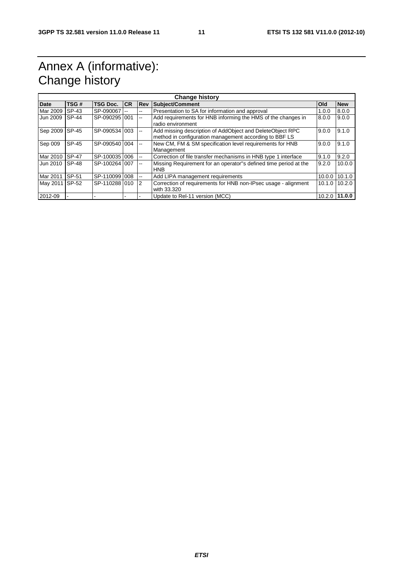# Annex A (informative): Change history

| <b>Change history</b> |              |               |            |              |                                                                                                                     |            |            |  |  |
|-----------------------|--------------|---------------|------------|--------------|---------------------------------------------------------------------------------------------------------------------|------------|------------|--|--|
| <b>Date</b>           | TSG#         | TSG Doc.      | <b>ICR</b> | <b>Rev</b>   | Subject/Comment                                                                                                     | <b>Old</b> | <b>New</b> |  |  |
| Mar 2009              | SP-43        | SP-090067     |            | $- -$        | Presentation to SA for information and approval                                                                     | 1.0.0      | 8.0.0      |  |  |
| Jun 2009              | <b>SP-44</b> | SP-090295 001 |            | $-1$         | Add requirements for HNB informing the HMS of the changes in<br>radio environment                                   | 8.0.0      | 9.0.0      |  |  |
| Sep 2009              | <b>SP-45</b> | SP-090534 003 |            | $\mathbf{u}$ | Add missing description of AddObject and DeleteObject RPC<br>method in configuration management according to BBF LS | 9.0.0      | 9.1.0      |  |  |
| Sep 009               | SP-45        | SP-090540 004 |            | $-1$         | New CM, FM & SM specification level requirements for HNB<br>Management                                              | 9.0.0      | 9.1.0      |  |  |
| Mar 2010              | <b>SP-47</b> | SP-100035 006 |            | $\mathbf{u}$ | Correction of file transfer mechanisms in HNB type 1 interface                                                      | 9.1.0      | 9.2.0      |  |  |
| Jun 2010              | <b>SP-48</b> | SP-100264 007 |            | $-$          | Missing Requirement for an operator"s defined time period at the<br><b>HNB</b>                                      | 9.2.0      | 10.0.0     |  |  |
| Mar 2011              | SP-51        | SP-110099 008 |            | $-$          | Add LIPA management requirements                                                                                    | 10.0.0     | 10.1.0     |  |  |
| May 2011              | SP-52        | SP-110288 010 |            | 2            | Correction of requirements for HNB non-IPsec usage - alignment<br>with 33.320                                       | 10.1.0     | 10.2.0     |  |  |
| 2012-09               |              |               |            |              | Update to Rel-11 version (MCC)                                                                                      | 10.2.0     | 11.0.0     |  |  |